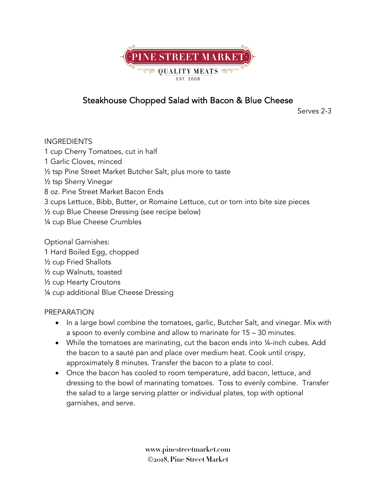

## Steakhouse Chopped Salad with Bacon & Blue Cheese

Serves 2-3

INGREDIENTS 1 cup Cherry Tomatoes, cut in half 1 Garlic Cloves, minced ½ tsp Pine Street Market Butcher Salt, plus more to taste ½ tsp Sherry Vinegar 8 oz. Pine Street Market Bacon Ends 3 cups Lettuce, Bibb, Butter, or Romaine Lettuce, cut or torn into bite size pieces ½ cup Blue Cheese Dressing (see recipe below) ¼ cup Blue Cheese Crumbles Optional Garnishes:

1 Hard Boiled Egg, chopped ½ cup Fried Shallots ½ cup Walnuts, toasted ½ cup Hearty Croutons ¼ cup additional Blue Cheese Dressing

## PREPARATION

- In a large bowl combine the tomatoes, garlic, Butcher Salt, and vinegar. Mix with a spoon to evenly combine and allow to marinate for 15 – 30 minutes.
- While the tomatoes are marinating, cut the bacon ends into 1/4-inch cubes. Add the bacon to a sauté pan and place over medium heat. Cook until crispy, approximately 8 minutes. Transfer the bacon to a plate to cool.
- Once the bacon has cooled to room temperature, add bacon, lettuce, and dressing to the bowl of marinating tomatoes. Toss to evenly combine. Transfer the salad to a large serving platter or individual plates, top with optional garnishes, and serve.

**www.pinestreetmarket.com** Ó**2018, Pine Street Market**